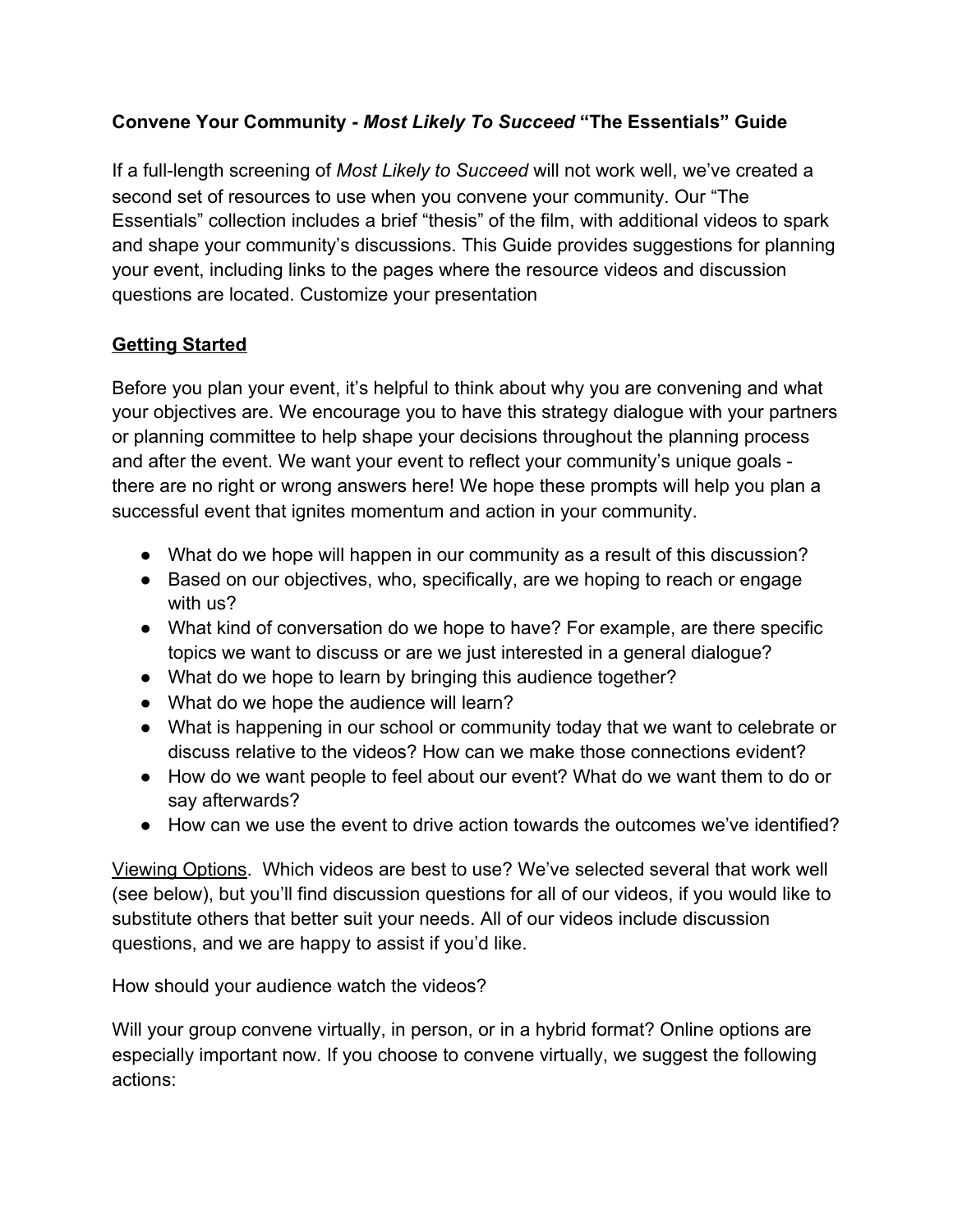## **Convene Your Community -** *Most Likely To Succeed* **"The Essentials" Guide**

If a full-length screening of *Most Likely to Succeed* will not work well, we've created a second set of resources to use when you convene your community. Our "The Essentials" collection includes a brief "thesis" of the film, with additional videos to spark and shape your community's discussions. This Guide provides suggestions for planning your event, including links to the pages where the resource videos and discussion questions are located. Customize your presentation

#### **Getting Started**

Before you plan your event, it's helpful to think about why you are convening and what your objectives are. We encourage you to have this strategy dialogue with your partners or planning committee to help shape your decisions throughout the planning process and after the event. We want your event to reflect your community's unique goals there are no right or wrong answers here! We hope these prompts will help you plan a successful event that ignites momentum and action in your community.

- What do we hope will happen in our community as a result of this discussion?
- Based on our objectives, who, specifically, are we hoping to reach or engage with us?
- What kind of conversation do we hope to have? For example, are there specific topics we want to discuss or are we just interested in a general dialogue?
- What do we hope to learn by bringing this audience together?
- What do we hope the audience will learn?
- What is happening in our school or community today that we want to celebrate or discuss relative to the videos? How can we make those connections evident?
- How do we want people to feel about our event? What do we want them to do or say afterwards?
- $\bullet$  How can we use the event to drive action towards the outcomes we've identified?

Viewing Options. Which videos are best to use? We've selected several that work well (see below), but you'll find discussion questions for all of our videos, if you would like to substitute others that better suit your needs. All of our videos include discussion questions, and we are happy to assist if you'd like.

How should your audience watch the videos?

Will your group convene virtually, in person, or in a hybrid format? Online options are especially important now. If you choose to convene virtually, we suggest the following actions: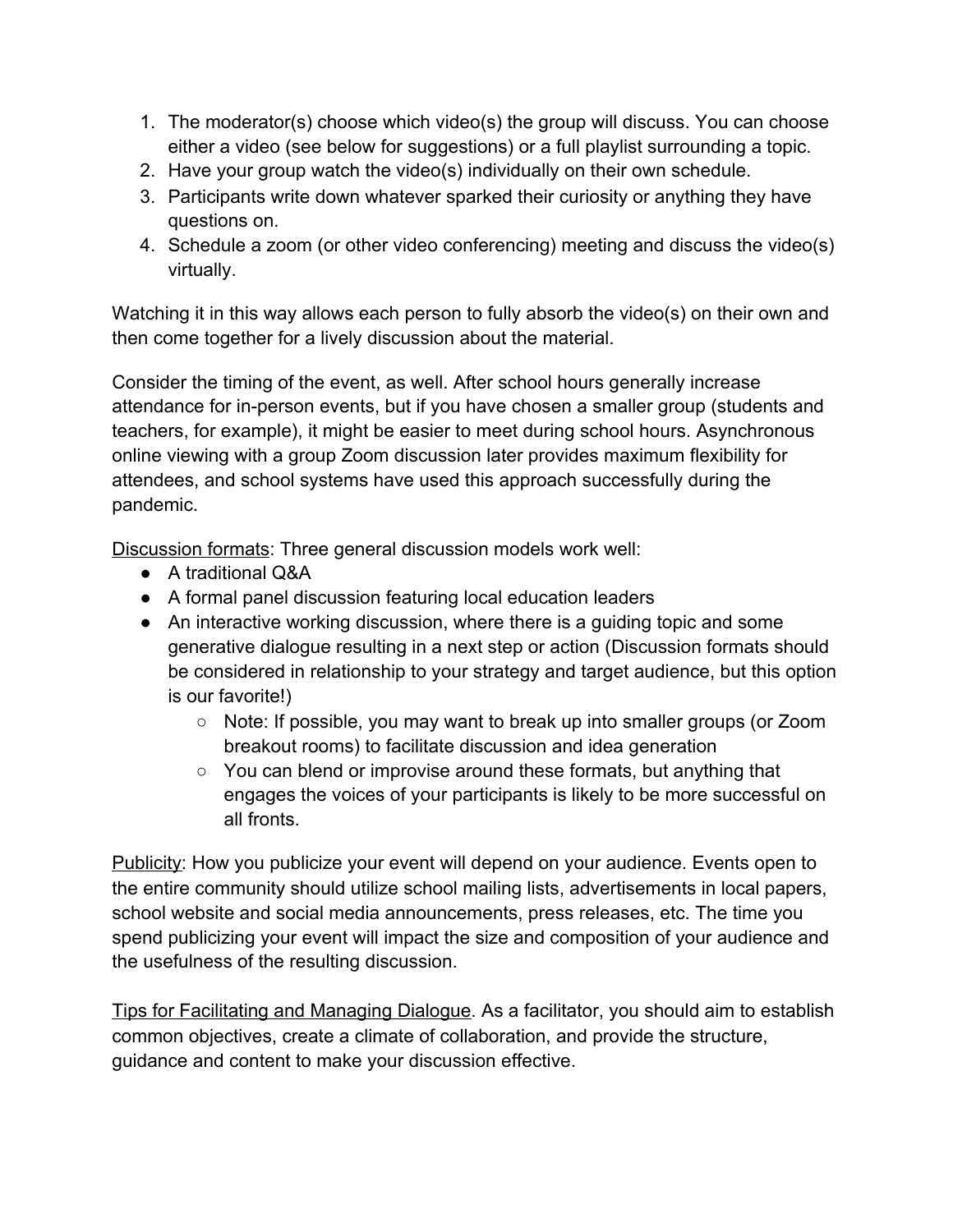- 1. The moderator(s) choose which video(s) the group will discuss. You can choose either a video (see below for suggestions) or a full playlist surrounding a topic.
- 2. Have your group watch the video(s) individually on their own schedule.
- 3. Participants write down whatever sparked their curiosity or anything they have questions on.
- 4. Schedule a zoom (or other video conferencing) meeting and discuss the video(s) virtually.

Watching it in this way allows each person to fully absorb the video(s) on their own and then come together for a lively discussion about the material.

Consider the timing of the event, as well. After school hours generally increase attendance for in-person events, but if you have chosen a smaller group (students and teachers, for example), it might be easier to meet during school hours. Asynchronous online viewing with a group Zoom discussion later provides maximum flexibility for attendees, and school systems have used this approach successfully during the pandemic.

Discussion formats: Three general discussion models work well:

- A traditional Q&A
- A formal panel discussion featuring local education leaders
- An interactive working discussion, where there is a guiding topic and some generative dialogue resulting in a next step or action (Discussion formats should be considered in relationship to your strategy and target audience, but this option is our favorite!)
	- Note: If possible, you may want to break up into smaller groups (or Zoom breakout rooms) to facilitate discussion and idea generation
	- You can blend or improvise around these formats, but anything that engages the voices of your participants is likely to be more successful on all fronts.

Publicity: How you publicize your event will depend on your audience. Events open to the entire community should utilize school mailing lists, advertisements in local papers, school website and social media announcements, press releases, etc. The time you spend publicizing your event will impact the size and composition of your audience and the usefulness of the resulting discussion.

Tips for Facilitating and Managing Dialogue. As a facilitator, you should aim to establish common objectives, create a climate of collaboration, and provide the structure, guidance and content to make your discussion effective.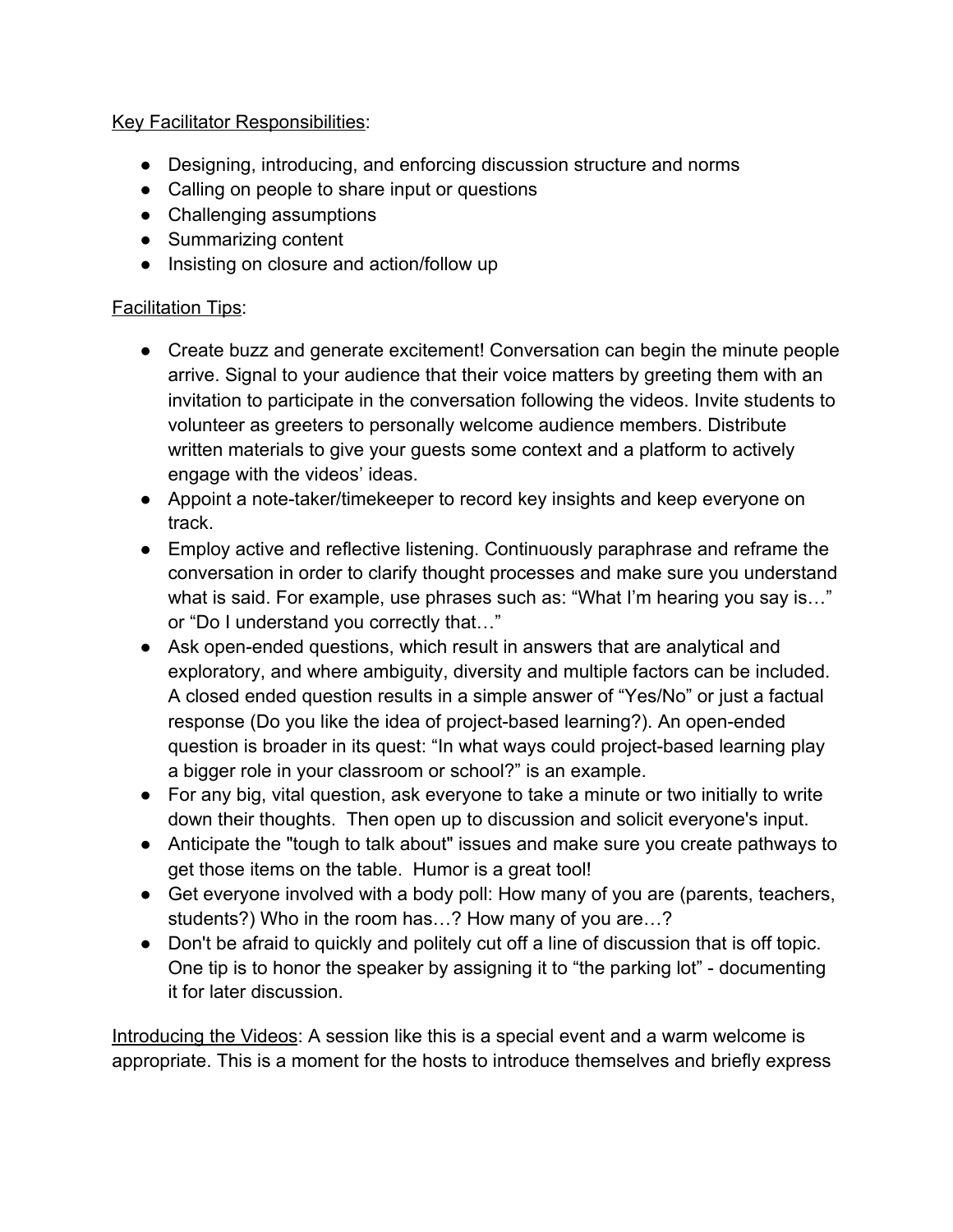#### Key Facilitator Responsibilities:

- Designing, introducing, and enforcing discussion structure and norms
- Calling on people to share input or questions
- Challenging assumptions
- Summarizing content
- Insisting on closure and action/follow up

#### **Facilitation Tips:**

- Create buzz and generate excitement! Conversation can begin the minute people arrive. Signal to your audience that their voice matters by greeting them with an invitation to participate in the conversation following the videos. Invite students to volunteer as greeters to personally welcome audience members. Distribute written materials to give your guests some context and a platform to actively engage with the videos' ideas.
- Appoint a note-taker/timekeeper to record key insights and keep everyone on track.
- Employ active and reflective listening. Continuously paraphrase and reframe the conversation in order to clarify thought processes and make sure you understand what is said. For example, use phrases such as: "What I'm hearing you say is..." or "Do I understand you correctly that…"
- Ask open-ended questions, which result in answers that are analytical and exploratory, and where ambiguity, diversity and multiple factors can be included. A closed ended question results in a simple answer of "Yes/No" or just a factual response (Do you like the idea of project-based learning?). An open-ended question is broader in its quest: "In what ways could project-based learning play a bigger role in your classroom or school?" is an example.
- For any big, vital question, ask everyone to take a minute or two initially to write down their thoughts. Then open up to discussion and solicit everyone's input.
- Anticipate the "tough to talk about" issues and make sure you create pathways to get those items on the table. Humor is a great tool!
- Get everyone involved with a body poll: How many of you are (parents, teachers, students?) Who in the room has…? How many of you are…?
- Don't be afraid to quickly and politely cut off a line of discussion that is off topic. One tip is to honor the speaker by assigning it to "the parking lot" - documenting it for later discussion.

Introducing the Videos: A session like this is a special event and a warm welcome is appropriate. This is a moment for the hosts to introduce themselves and briefly express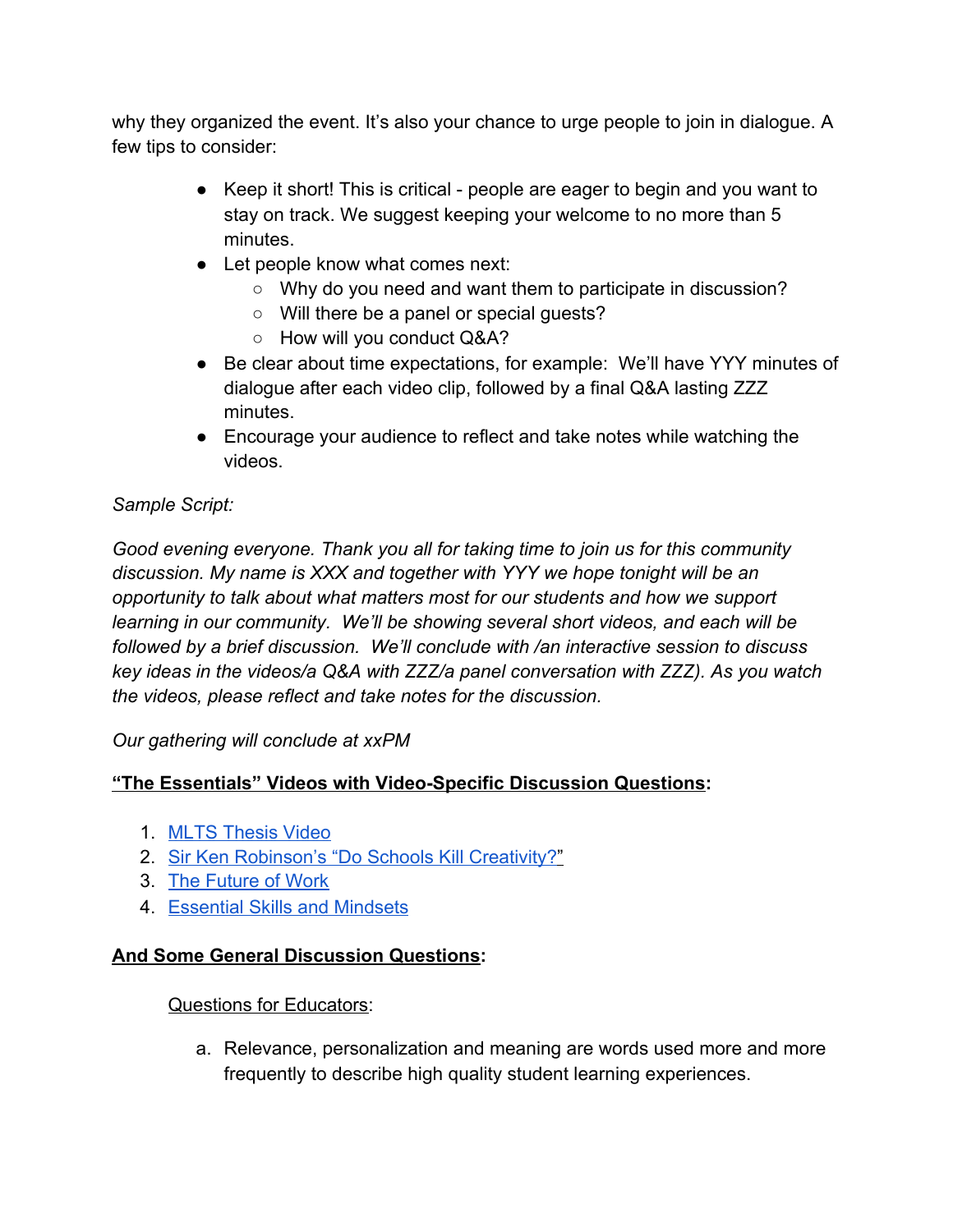why they organized the event. It's also your chance to urge people to join in dialogue. A few tips to consider:

- Keep it short! This is critical people are eager to begin and you want to stay on track. We suggest keeping your welcome to no more than 5 minutes.
- Let people know what comes next:
	- Why do you need and want them to participate in discussion?
	- Will there be a panel or special guests?
	- How will you conduct Q&A?
- Be clear about time expectations, for example: We'll have YYY minutes of dialogue after each video clip, followed by a final Q&A lasting ZZZ minutes.
- Encourage your audience to reflect and take notes while watching the videos.

# *Sample Script:*

*Good evening everyone. Thank you all for taking time to join us for this community discussion. My name is XXX and together with YYY we hope tonight will be an opportunity to talk about what matters most for our students and how we support learning in our community. We'll be showing several short videos, and each will be followed by a brief discussion. We'll conclude with /an interactive session to discuss key ideas in the videos/a Q&A with ZZZ/a panel conversation with ZZZ). As you watch the videos, please reflect and take notes for the discussion.*

*Our gathering will conclude at xxPM*

## **"The Essentials" Videos with Video-Specific Discussion Questions:**

- 1. [MLTS Thesis Video](https://vimeo.com/135611275)
- 2. [Sir Ken Robinson's "Do Schools Kill Creativity?](https://innovationplaylist.teddintersmith.com/do-schools-kill-creativity/)"
- 3. [The Future of Work](https://innovationplaylist.teddintersmith.com/the-future-of-work/)
- 4. [Essential Skills and Mindsets](https://innovationplaylist.teddintersmith.com/essential-skills-mindsets/)

## **And Some General Discussion Questions:**

#### Questions for Educators:

a. Relevance, personalization and meaning are words used more and more frequently to describe high quality student learning experiences.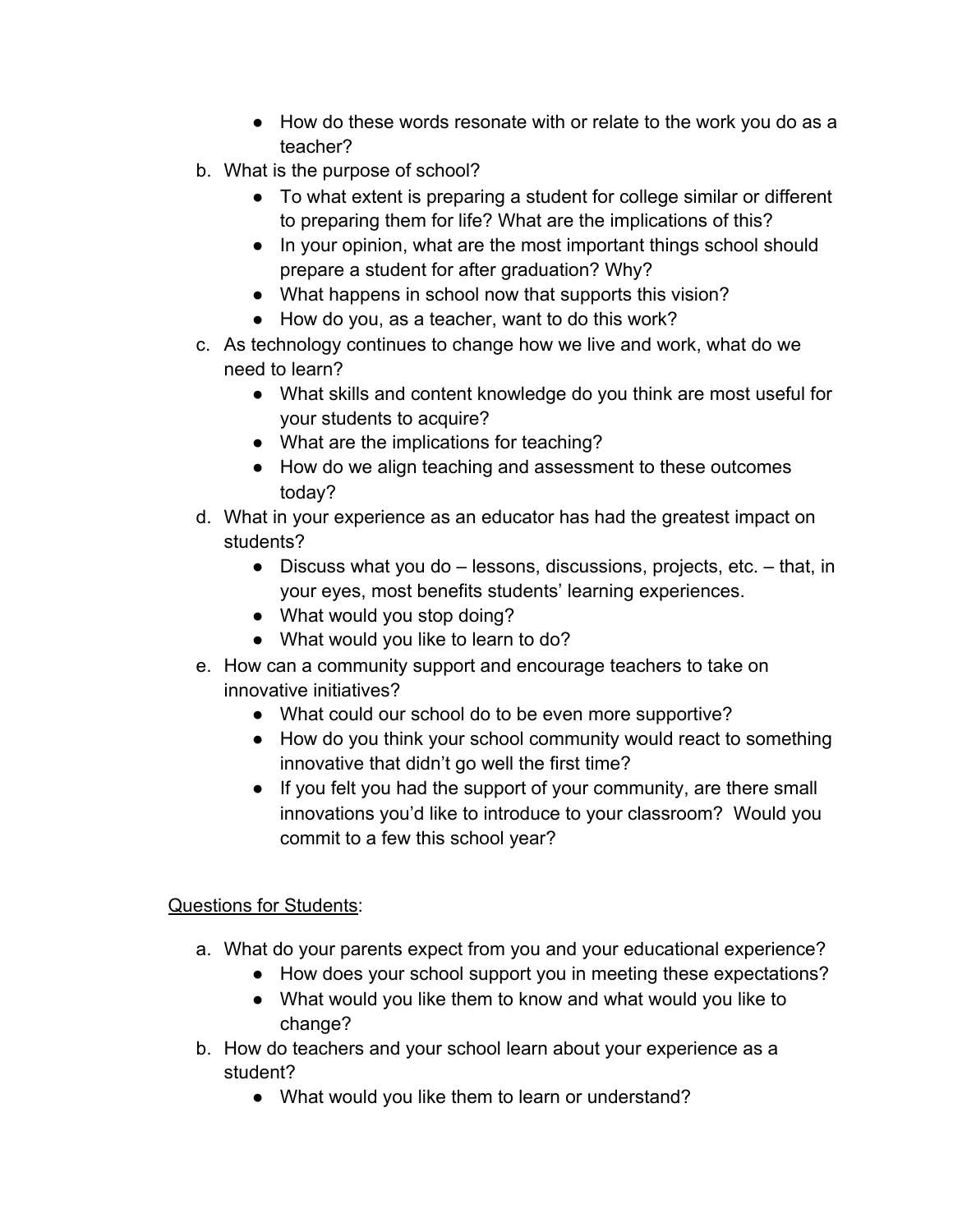- How do these words resonate with or relate to the work you do as a teacher?
- b. What is the purpose of school?
	- To what extent is preparing a student for college similar or different to preparing them for life? What are the implications of this?
	- In your opinion, what are the most important things school should prepare a student for after graduation? Why?
	- What happens in school now that supports this vision?
	- How do you, as a teacher, want to do this work?
- c. As technology continues to change how we live and work, what do we need to learn?
	- What skills and content knowledge do you think are most useful for your students to acquire?
	- What are the implications for teaching?
	- How do we align teaching and assessment to these outcomes today?
- d. What in your experience as an educator has had the greatest impact on students?
	- $\bullet$  Discuss what you do  $-$  lessons, discussions, projects, etc.  $-$  that, in your eyes, most benefits students' learning experiences.
	- What would you stop doing?
	- What would you like to learn to do?
- e. How can a community support and encourage teachers to take on innovative initiatives?
	- What could our school do to be even more supportive?
	- How do you think your school community would react to something innovative that didn't go well the first time?
	- If you felt you had the support of your community, are there small innovations you'd like to introduce to your classroom? Would you commit to a few this school year?

## Questions for Students:

- a. What do your parents expect from you and your educational experience?
	- How does your school support you in meeting these expectations?
	- What would you like them to know and what would you like to change?
- b. How do teachers and your school learn about your experience as a student?
	- What would you like them to learn or understand?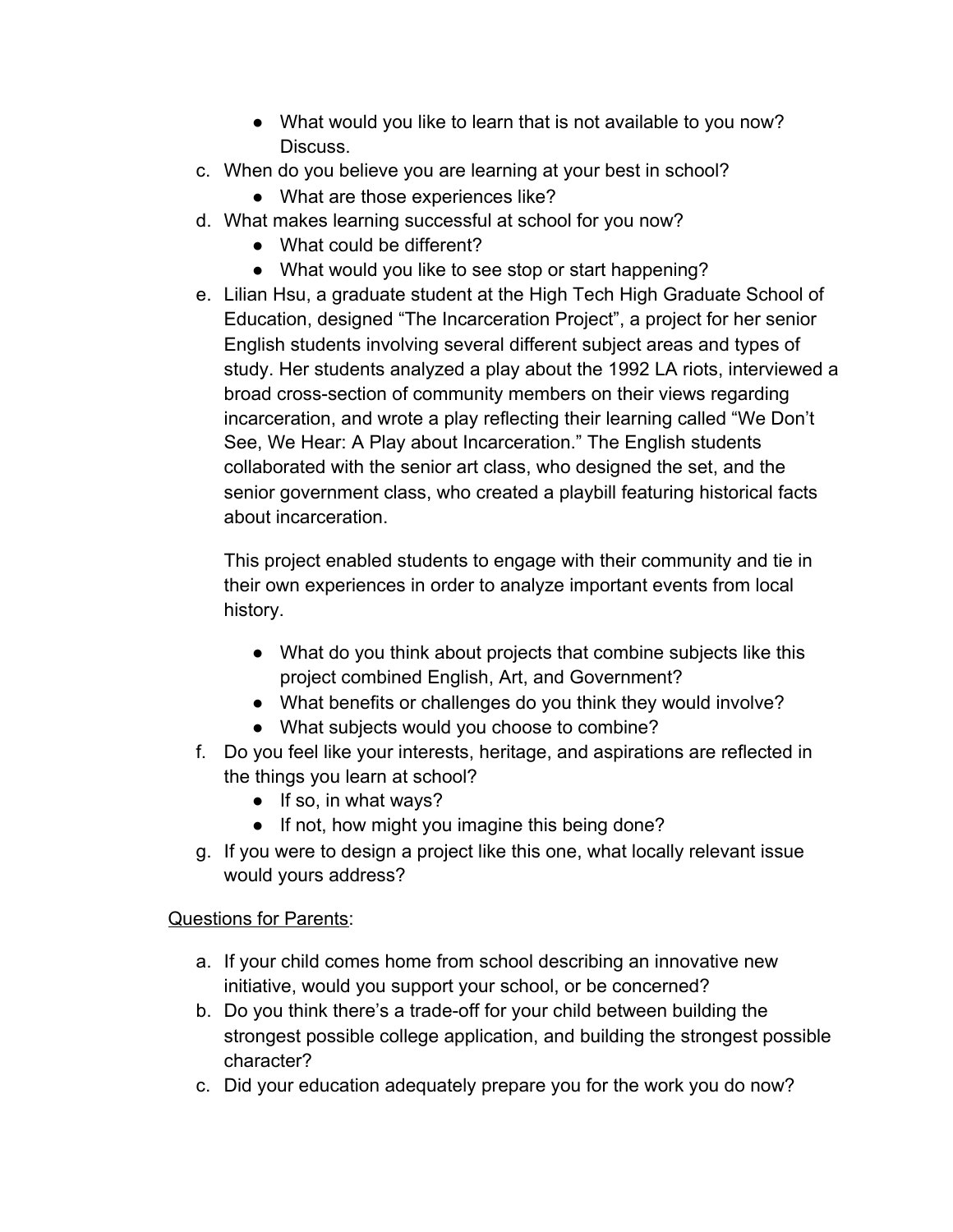- What would you like to learn that is not available to you now? Discuss.
- c. When do you believe you are learning at your best in school?
	- What are those experiences like?
- d. What makes learning successful at school for you now?
	- What could be different?
	- What would you like to see stop or start happening?
- e. Lilian Hsu, a graduate student at the High Tech High Graduate School of Education, designed ["The Incarceration Project"](http://lillianportfolio.kaye.to/DP/Teaching_Portfolio.html), a project for her senior English students involving several different subject areas and types of study. Her students analyzed a play about the 1992 LA riots, interviewed a broad cross-section of community members on their views regarding incarceration, and wrote a play reflecting their learning called "We Don't See, We Hear: A Play about Incarceration." The English students collaborated with the senior art class, who designed the set, and the senior government class, who created a playbill featuring historical facts about incarceration.

This project enabled students to engage with their community and tie in their own experiences in order to analyze important events from local history.

- What do you think about projects that combine subjects like this project combined English, Art, and Government?
- What benefits or challenges do you think they would involve?
- What subjects would you choose to combine?
- f. Do you feel like your interests, heritage, and aspirations are reflected in the things you learn at school?
	- $\bullet$  If so, in what ways?
	- If not, how might you imagine this being done?
- g. If you were to design a project like this one, what locally relevant issue would yours address?

## Questions for Parents:

- a. If your child comes home from school describing an innovative new initiative, would you support your school, or be concerned?
- b. Do you think there's a trade-off for your child between building the strongest possible college application, and building the strongest possible character?
- c. Did your education adequately prepare you for the work you do now?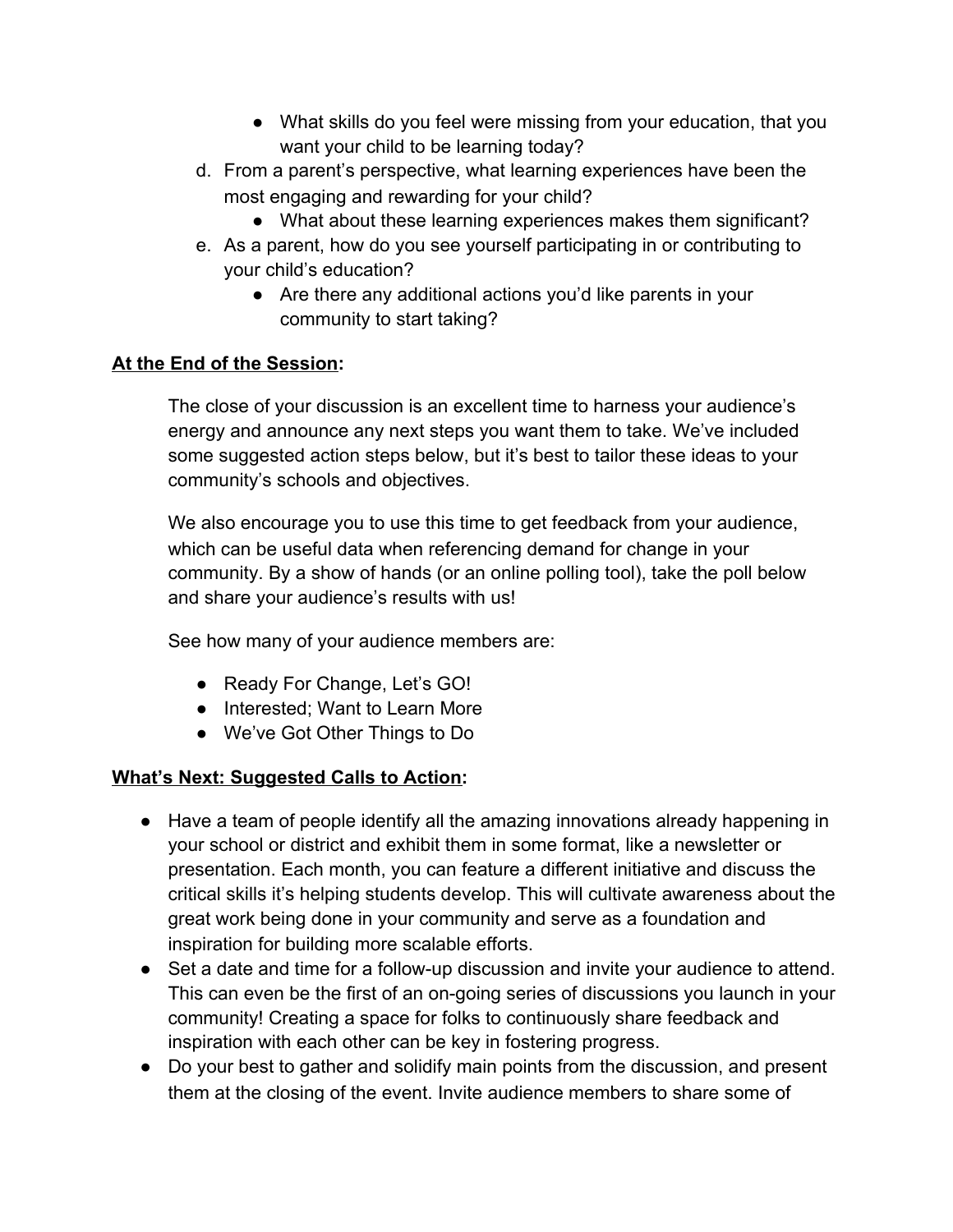- What skills do you feel were missing from your education, that you want your child to be learning today?
- d. From a parent's perspective, what learning experiences have been the most engaging and rewarding for your child?
	- What about these learning experiences makes them significant?
- e. As a parent, how do you see yourself participating in or contributing to your child's education?
	- Are there any additional actions you'd like parents in your community to start taking?

## **At the End of the Session:**

The close of your discussion is an excellent time to harness your audience's energy and announce any next steps you want them to take. We've included some suggested action steps below, but it's best to tailor these ideas to your community's schools and objectives.

We also encourage you to use this time to get feedback from your audience, which can be useful data when referencing demand for change in your community. By a show of hands (or an online polling tool), take the poll below and share your audience's results with us!

See how many of your audience members are:

- Ready For Change, Let's GO!
- Interested; Want to Learn More
- We've Got Other Things to Do

## **What's Next: Suggested Calls to Action:**

- Have a team of people identify all the amazing innovations already happening in your school or district and exhibit them in some format, like a newsletter or presentation. Each month, you can feature a different initiative and discuss the critical skills it's helping students develop. This will cultivate awareness about the great work being done in your community and serve as a foundation and inspiration for building more scalable efforts.
- Set a date and time for a follow-up discussion and invite your audience to attend. This can even be the first of an on-going series of discussions you launch in your community! Creating a space for folks to continuously share feedback and inspiration with each other can be key in fostering progress.
- Do your best to gather and solidify main points from the discussion, and present them at the closing of the event. Invite audience members to share some of